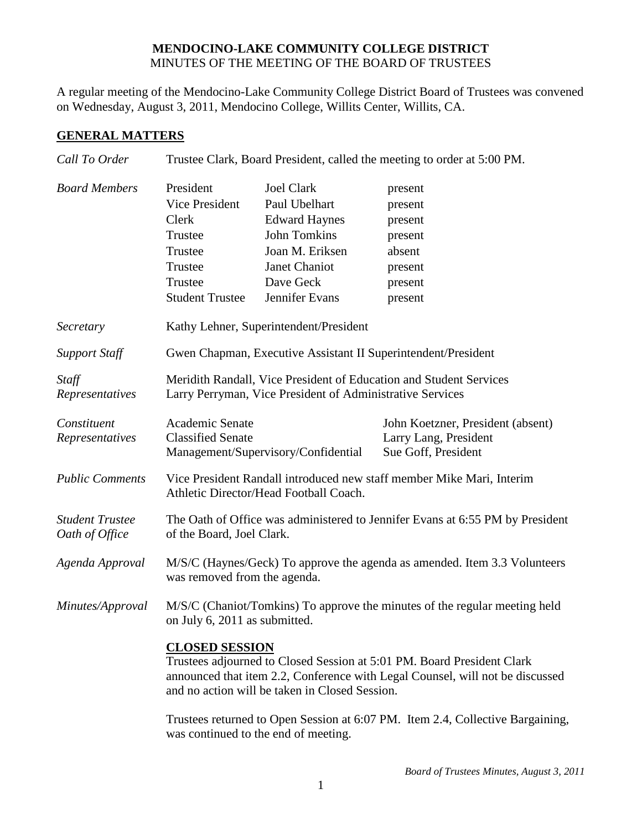## **MENDOCINO-LAKE COMMUNITY COLLEGE DISTRICT** MINUTES OF THE MEETING OF THE BOARD OF TRUSTEES

A regular meeting of the Mendocino-Lake Community College District Board of Trustees was convened on Wednesday, August 3, 2011, Mendocino College, Willits Center, Willits, CA.

## **GENERAL MATTERS**

| Call To Order                            | Trustee Clark, Board President, called the meeting to order at 5:00 PM.                                                                                                                                                            |                                                                                                                                                      |                                                                                     |  |
|------------------------------------------|------------------------------------------------------------------------------------------------------------------------------------------------------------------------------------------------------------------------------------|------------------------------------------------------------------------------------------------------------------------------------------------------|-------------------------------------------------------------------------------------|--|
| <b>Board Members</b>                     | President<br>Vice President<br>Clerk<br>Trustee<br>Trustee<br>Trustee<br>Trustee<br><b>Student Trustee</b>                                                                                                                         | <b>Joel Clark</b><br>Paul Ubelhart<br><b>Edward Haynes</b><br><b>John Tomkins</b><br>Joan M. Eriksen<br>Janet Chaniot<br>Dave Geck<br>Jennifer Evans | present<br>present<br>present<br>present<br>absent<br>present<br>present<br>present |  |
| Secretary                                | Kathy Lehner, Superintendent/President                                                                                                                                                                                             |                                                                                                                                                      |                                                                                     |  |
| <b>Support Staff</b>                     | Gwen Chapman, Executive Assistant II Superintendent/President                                                                                                                                                                      |                                                                                                                                                      |                                                                                     |  |
| Staff<br>Representatives                 | Meridith Randall, Vice President of Education and Student Services<br>Larry Perryman, Vice President of Administrative Services                                                                                                    |                                                                                                                                                      |                                                                                     |  |
| Constituent<br>Representatives           | Academic Senate<br><b>Classified Senate</b><br>Management/Supervisory/Confidential                                                                                                                                                 |                                                                                                                                                      | John Koetzner, President (absent)<br>Larry Lang, President<br>Sue Goff, President   |  |
| <b>Public Comments</b>                   | Vice President Randall introduced new staff member Mike Mari, Interim<br>Athletic Director/Head Football Coach.                                                                                                                    |                                                                                                                                                      |                                                                                     |  |
| <b>Student Trustee</b><br>Oath of Office | The Oath of Office was administered to Jennifer Evans at 6:55 PM by President<br>of the Board, Joel Clark.                                                                                                                         |                                                                                                                                                      |                                                                                     |  |
| Agenda Approval                          | M/S/C (Haynes/Geck) To approve the agenda as amended. Item 3.3 Volunteers<br>was removed from the agenda.                                                                                                                          |                                                                                                                                                      |                                                                                     |  |
| Minutes/Approval                         | M/S/C (Chaniot/Tomkins) To approve the minutes of the regular meeting held<br>on July 6, 2011 as submitted.                                                                                                                        |                                                                                                                                                      |                                                                                     |  |
|                                          | <b>CLOSED SESSION</b><br>Trustees adjourned to Closed Session at 5:01 PM. Board President Clark<br>announced that item 2.2, Conference with Legal Counsel, will not be discussed<br>and no action will be taken in Closed Session. |                                                                                                                                                      |                                                                                     |  |
|                                          | Trustees returned to Open Session at 6:07 PM. Item 2.4, Collective Bargaining,<br>was continued to the end of meeting.                                                                                                             |                                                                                                                                                      |                                                                                     |  |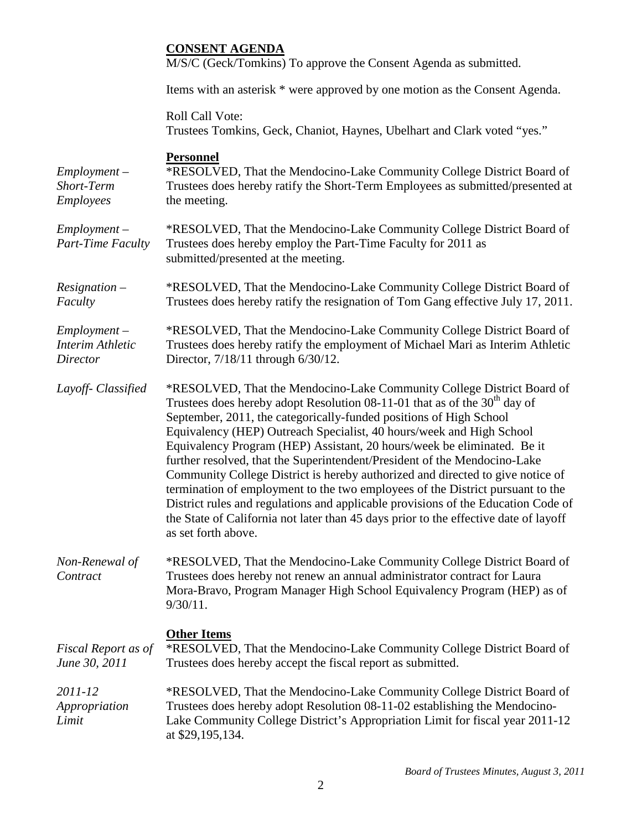|                                                       | <b>CONSENT AGENDA</b><br>M/S/C (Geck/Tomkins) To approve the Consent Agenda as submitted.                                                                                                                                                                                                                                                                                                                                                                                                                                                                                                                                                                                                                                                                                                                                                     |
|-------------------------------------------------------|-----------------------------------------------------------------------------------------------------------------------------------------------------------------------------------------------------------------------------------------------------------------------------------------------------------------------------------------------------------------------------------------------------------------------------------------------------------------------------------------------------------------------------------------------------------------------------------------------------------------------------------------------------------------------------------------------------------------------------------------------------------------------------------------------------------------------------------------------|
|                                                       | Items with an asterisk * were approved by one motion as the Consent Agenda.                                                                                                                                                                                                                                                                                                                                                                                                                                                                                                                                                                                                                                                                                                                                                                   |
|                                                       | <b>Roll Call Vote:</b><br>Trustees Tomkins, Geck, Chaniot, Haynes, Ubelhart and Clark voted "yes."                                                                                                                                                                                                                                                                                                                                                                                                                                                                                                                                                                                                                                                                                                                                            |
| $Employment -$<br>Short-Term<br><b>Employees</b>      | <b>Personnel</b><br>*RESOLVED, That the Mendocino-Lake Community College District Board of<br>Trustees does hereby ratify the Short-Term Employees as submitted/presented at<br>the meeting.                                                                                                                                                                                                                                                                                                                                                                                                                                                                                                                                                                                                                                                  |
| $Employment -$<br>Part-Time Faculty                   | *RESOLVED, That the Mendocino-Lake Community College District Board of<br>Trustees does hereby employ the Part-Time Faculty for 2011 as<br>submitted/presented at the meeting.                                                                                                                                                                                                                                                                                                                                                                                                                                                                                                                                                                                                                                                                |
| $Resignation -$<br>Faculty                            | *RESOLVED, That the Mendocino-Lake Community College District Board of<br>Trustees does hereby ratify the resignation of Tom Gang effective July 17, 2011.                                                                                                                                                                                                                                                                                                                                                                                                                                                                                                                                                                                                                                                                                    |
| $Employment -$<br><b>Interim Athletic</b><br>Director | *RESOLVED, That the Mendocino-Lake Community College District Board of<br>Trustees does hereby ratify the employment of Michael Mari as Interim Athletic<br>Director, 7/18/11 through 6/30/12.                                                                                                                                                                                                                                                                                                                                                                                                                                                                                                                                                                                                                                                |
| Layoff- Classified                                    | *RESOLVED, That the Mendocino-Lake Community College District Board of<br>Trustees does hereby adopt Resolution 08-11-01 that as of the 30 <sup>th</sup> day of<br>September, 2011, the categorically-funded positions of High School<br>Equivalency (HEP) Outreach Specialist, 40 hours/week and High School<br>Equivalency Program (HEP) Assistant, 20 hours/week be eliminated. Be it<br>further resolved, that the Superintendent/President of the Mendocino-Lake<br>Community College District is hereby authorized and directed to give notice of<br>termination of employment to the two employees of the District pursuant to the<br>District rules and regulations and applicable provisions of the Education Code of<br>the State of California not later than 45 days prior to the effective date of layoff<br>as set forth above. |
| Non-Renewal of<br>Contract                            | *RESOLVED, That the Mendocino-Lake Community College District Board of<br>Trustees does hereby not renew an annual administrator contract for Laura<br>Mora-Bravo, Program Manager High School Equivalency Program (HEP) as of<br>$9/30/11$ .                                                                                                                                                                                                                                                                                                                                                                                                                                                                                                                                                                                                 |
| Fiscal Report as of<br>June 30, 2011                  | <b>Other Items</b><br>*RESOLVED, That the Mendocino-Lake Community College District Board of<br>Trustees does hereby accept the fiscal report as submitted.                                                                                                                                                                                                                                                                                                                                                                                                                                                                                                                                                                                                                                                                                   |
| 2011-12<br>Appropriation<br>Limit                     | *RESOLVED, That the Mendocino-Lake Community College District Board of<br>Trustees does hereby adopt Resolution 08-11-02 establishing the Mendocino-<br>Lake Community College District's Appropriation Limit for fiscal year 2011-12<br>at \$29,195,134.                                                                                                                                                                                                                                                                                                                                                                                                                                                                                                                                                                                     |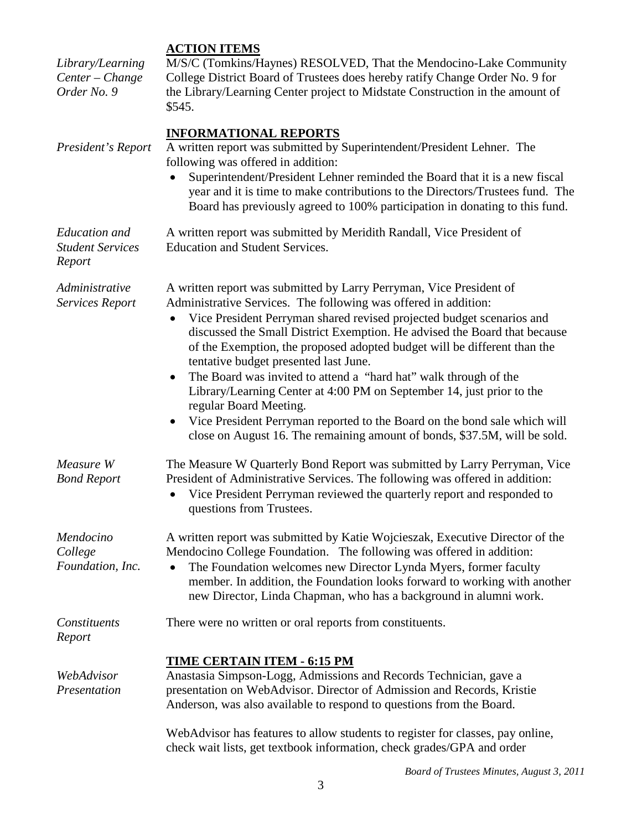## **ACTION ITEMS**

| Library/Learning<br>Center - Change<br>Order No. 9        | M/S/C (Tomkins/Haynes) RESOLVED, That the Mendocino-Lake Community<br>College District Board of Trustees does hereby ratify Change Order No. 9 for<br>the Library/Learning Center project to Midstate Construction in the amount of<br>\$545.                                                                                                                                                                                                                                                                                                                                                                                                                                                                                                                   |
|-----------------------------------------------------------|-----------------------------------------------------------------------------------------------------------------------------------------------------------------------------------------------------------------------------------------------------------------------------------------------------------------------------------------------------------------------------------------------------------------------------------------------------------------------------------------------------------------------------------------------------------------------------------------------------------------------------------------------------------------------------------------------------------------------------------------------------------------|
| President's Report                                        | <b>INFORMATIONAL REPORTS</b><br>A written report was submitted by Superintendent/President Lehner. The<br>following was offered in addition:<br>Superintendent/President Lehner reminded the Board that it is a new fiscal<br>year and it is time to make contributions to the Directors/Trustees fund. The<br>Board has previously agreed to 100% participation in donating to this fund.                                                                                                                                                                                                                                                                                                                                                                      |
| <b>Education</b> and<br><b>Student Services</b><br>Report | A written report was submitted by Meridith Randall, Vice President of<br><b>Education and Student Services.</b>                                                                                                                                                                                                                                                                                                                                                                                                                                                                                                                                                                                                                                                 |
| Administrative<br><b>Services Report</b>                  | A written report was submitted by Larry Perryman, Vice President of<br>Administrative Services. The following was offered in addition:<br>Vice President Perryman shared revised projected budget scenarios and<br>discussed the Small District Exemption. He advised the Board that because<br>of the Exemption, the proposed adopted budget will be different than the<br>tentative budget presented last June.<br>The Board was invited to attend a "hard hat" walk through of the<br>$\bullet$<br>Library/Learning Center at 4:00 PM on September 14, just prior to the<br>regular Board Meeting.<br>Vice President Perryman reported to the Board on the bond sale which will<br>close on August 16. The remaining amount of bonds, \$37.5M, will be sold. |
| Measure W<br><b>Bond Report</b>                           | The Measure W Quarterly Bond Report was submitted by Larry Perryman, Vice<br>President of Administrative Services. The following was offered in addition:<br>Vice President Perryman reviewed the quarterly report and responded to<br>questions from Trustees.                                                                                                                                                                                                                                                                                                                                                                                                                                                                                                 |
| Mendocino<br>College<br>Foundation, Inc.                  | A written report was submitted by Katie Wojcieszak, Executive Director of the<br>Mendocino College Foundation. The following was offered in addition:<br>The Foundation welcomes new Director Lynda Myers, former faculty<br>member. In addition, the Foundation looks forward to working with another<br>new Director, Linda Chapman, who has a background in alumni work.                                                                                                                                                                                                                                                                                                                                                                                     |
| Constituents<br>Report                                    | There were no written or oral reports from constituents.                                                                                                                                                                                                                                                                                                                                                                                                                                                                                                                                                                                                                                                                                                        |
| WebAdvisor<br>Presentation                                | <b>TIME CERTAIN ITEM - 6:15 PM</b><br>Anastasia Simpson-Logg, Admissions and Records Technician, gave a<br>presentation on WebAdvisor. Director of Admission and Records, Kristie<br>Anderson, was also available to respond to questions from the Board.                                                                                                                                                                                                                                                                                                                                                                                                                                                                                                       |
|                                                           | WebAdvisor has features to allow students to register for classes, pay online,<br>check wait lists, get textbook information, check grades/GPA and order                                                                                                                                                                                                                                                                                                                                                                                                                                                                                                                                                                                                        |